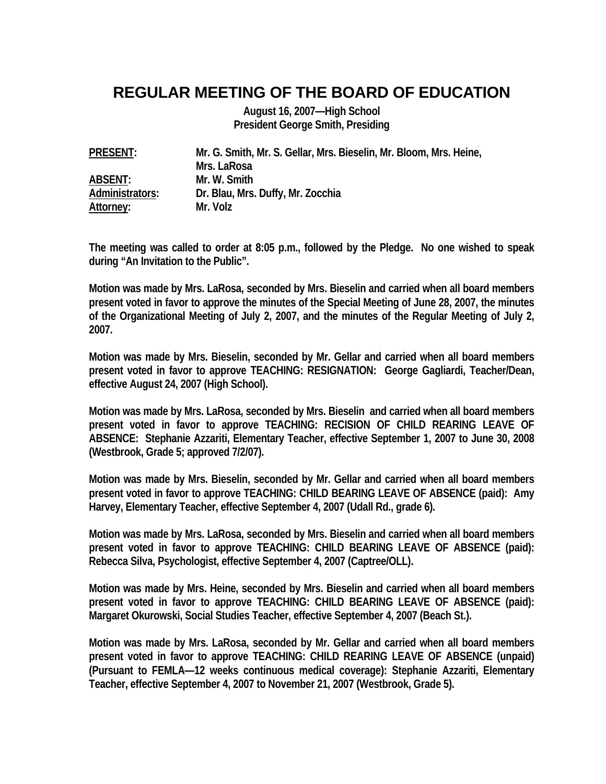## **REGULAR MEETING OF THE BOARD OF EDUCATION**

**August 16, 2007—High School President George Smith, Presiding** 

| <b>PRESENT:</b> | Mr. G. Smith, Mr. S. Gellar, Mrs. Bieselin, Mr. Bloom, Mrs. Heine, |
|-----------------|--------------------------------------------------------------------|
|                 | Mrs. LaRosa                                                        |
| ABSENT:         | Mr. W. Smith                                                       |
| Administrators: | Dr. Blau, Mrs. Duffy, Mr. Zocchia                                  |
| Attorney:       | Mr. Volz                                                           |

**The meeting was called to order at 8:05 p.m., followed by the Pledge. No one wished to speak during "An Invitation to the Public".** 

**Motion was made by Mrs. LaRosa, seconded by Mrs. Bieselin and carried when all board members present voted in favor to approve the minutes of the Special Meeting of June 28, 2007, the minutes of the Organizational Meeting of July 2, 2007, and the minutes of the Regular Meeting of July 2, 2007.** 

**Motion was made by Mrs. Bieselin, seconded by Mr. Gellar and carried when all board members present voted in favor to approve TEACHING: RESIGNATION: George Gagliardi, Teacher/Dean, effective August 24, 2007 (High School).** 

**Motion was made by Mrs. LaRosa, seconded by Mrs. Bieselin and carried when all board members present voted in favor to approve TEACHING: RECISION OF CHILD REARING LEAVE OF ABSENCE: Stephanie Azzariti, Elementary Teacher, effective September 1, 2007 to June 30, 2008 (Westbrook, Grade 5; approved 7/2/07).** 

**Motion was made by Mrs. Bieselin, seconded by Mr. Gellar and carried when all board members present voted in favor to approve TEACHING: CHILD BEARING LEAVE OF ABSENCE (paid): Amy Harvey, Elementary Teacher, effective September 4, 2007 (Udall Rd., grade 6).** 

**Motion was made by Mrs. LaRosa, seconded by Mrs. Bieselin and carried when all board members present voted in favor to approve TEACHING: CHILD BEARING LEAVE OF ABSENCE (paid): Rebecca Silva, Psychologist, effective September 4, 2007 (Captree/OLL).** 

**Motion was made by Mrs. Heine, seconded by Mrs. Bieselin and carried when all board members present voted in favor to approve TEACHING: CHILD BEARING LEAVE OF ABSENCE (paid): Margaret Okurowski, Social Studies Teacher, effective September 4, 2007 (Beach St.).** 

**Motion was made by Mrs. LaRosa, seconded by Mr. Gellar and carried when all board members present voted in favor to approve TEACHING: CHILD REARING LEAVE OF ABSENCE (unpaid) (Pursuant to FEMLA—12 weeks continuous medical coverage): Stephanie Azzariti, Elementary Teacher, effective September 4, 2007 to November 21, 2007 (Westbrook, Grade 5).**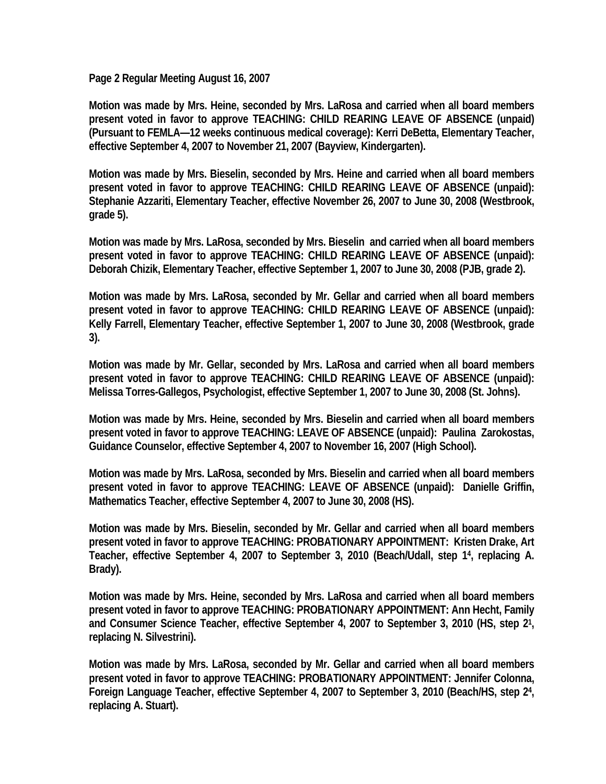**Page 2 Regular Meeting August 16, 2007** 

**Motion was made by Mrs. Heine, seconded by Mrs. LaRosa and carried when all board members present voted in favor to approve TEACHING: CHILD REARING LEAVE OF ABSENCE (unpaid) (Pursuant to FEMLA—12 weeks continuous medical coverage): Kerri DeBetta, Elementary Teacher, effective September 4, 2007 to November 21, 2007 (Bayview, Kindergarten).** 

**Motion was made by Mrs. Bieselin, seconded by Mrs. Heine and carried when all board members present voted in favor to approve TEACHING: CHILD REARING LEAVE OF ABSENCE (unpaid): Stephanie Azzariti, Elementary Teacher, effective November 26, 2007 to June 30, 2008 (Westbrook, grade 5).** 

**Motion was made by Mrs. LaRosa, seconded by Mrs. Bieselin and carried when all board members present voted in favor to approve TEACHING: CHILD REARING LEAVE OF ABSENCE (unpaid): Deborah Chizik, Elementary Teacher, effective September 1, 2007 to June 30, 2008 (PJB, grade 2).** 

**Motion was made by Mrs. LaRosa, seconded by Mr. Gellar and carried when all board members present voted in favor to approve TEACHING: CHILD REARING LEAVE OF ABSENCE (unpaid): Kelly Farrell, Elementary Teacher, effective September 1, 2007 to June 30, 2008 (Westbrook, grade 3).** 

**Motion was made by Mr. Gellar, seconded by Mrs. LaRosa and carried when all board members present voted in favor to approve TEACHING: CHILD REARING LEAVE OF ABSENCE (unpaid): Melissa Torres-Gallegos, Psychologist, effective September 1, 2007 to June 30, 2008 (St. Johns).** 

**Motion was made by Mrs. Heine, seconded by Mrs. Bieselin and carried when all board members present voted in favor to approve TEACHING: LEAVE OF ABSENCE (unpaid): Paulina Zarokostas, Guidance Counselor, effective September 4, 2007 to November 16, 2007 (High School).** 

**Motion was made by Mrs. LaRosa, seconded by Mrs. Bieselin and carried when all board members present voted in favor to approve TEACHING: LEAVE OF ABSENCE (unpaid): Danielle Griffin, Mathematics Teacher, effective September 4, 2007 to June 30, 2008 (HS).** 

**Motion was made by Mrs. Bieselin, seconded by Mr. Gellar and carried when all board members present voted in favor to approve TEACHING: PROBATIONARY APPOINTMENT: Kristen Drake, Art Teacher, effective September 4, 2007 to September 3, 2010 (Beach/Udall, step 14, replacing A. Brady).** 

**Motion was made by Mrs. Heine, seconded by Mrs. LaRosa and carried when all board members present voted in favor to approve TEACHING: PROBATIONARY APPOINTMENT: Ann Hecht, Family and Consumer Science Teacher, effective September 4, 2007 to September 3, 2010 (HS, step 21, replacing N. Silvestrini).** 

**Motion was made by Mrs. LaRosa, seconded by Mr. Gellar and carried when all board members present voted in favor to approve TEACHING: PROBATIONARY APPOINTMENT: Jennifer Colonna, Foreign Language Teacher, effective September 4, 2007 to September 3, 2010 (Beach/HS, step 24, replacing A. Stuart).**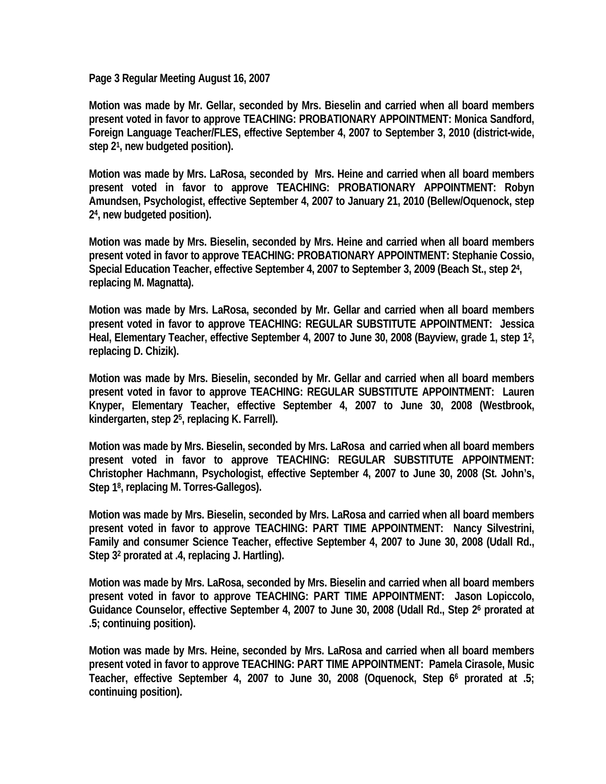**Page 3 Regular Meeting August 16, 2007** 

**Motion was made by Mr. Gellar, seconded by Mrs. Bieselin and carried when all board members present voted in favor to approve TEACHING: PROBATIONARY APPOINTMENT: Monica Sandford, Foreign Language Teacher/FLES, effective September 4, 2007 to September 3, 2010 (district-wide, step 21, new budgeted position).** 

**Motion was made by Mrs. LaRosa, seconded by Mrs. Heine and carried when all board members present voted in favor to approve TEACHING: PROBATIONARY APPOINTMENT: Robyn Amundsen, Psychologist, effective September 4, 2007 to January 21, 2010 (Bellew/Oquenock, step 24, new budgeted position).** 

**Motion was made by Mrs. Bieselin, seconded by Mrs. Heine and carried when all board members present voted in favor to approve TEACHING: PROBATIONARY APPOINTMENT: Stephanie Cossio, Special Education Teacher, effective September 4, 2007 to September 3, 2009 (Beach St., step 24, replacing M. Magnatta).** 

**Motion was made by Mrs. LaRosa, seconded by Mr. Gellar and carried when all board members present voted in favor to approve TEACHING: REGULAR SUBSTITUTE APPOINTMENT: Jessica Heal, Elementary Teacher, effective September 4, 2007 to June 30, 2008 (Bayview, grade 1, step 12, replacing D. Chizik).** 

**Motion was made by Mrs. Bieselin, seconded by Mr. Gellar and carried when all board members present voted in favor to approve TEACHING: REGULAR SUBSTITUTE APPOINTMENT: Lauren Knyper, Elementary Teacher, effective September 4, 2007 to June 30, 2008 (Westbrook, kindergarten, step 25, replacing K. Farrell).** 

**Motion was made by Mrs. Bieselin, seconded by Mrs. LaRosa and carried when all board members present voted in favor to approve TEACHING: REGULAR SUBSTITUTE APPOINTMENT: Christopher Hachmann, Psychologist, effective September 4, 2007 to June 30, 2008 (St. John's, Step 18, replacing M. Torres-Gallegos).** 

**Motion was made by Mrs. Bieselin, seconded by Mrs. LaRosa and carried when all board members present voted in favor to approve TEACHING: PART TIME APPOINTMENT: Nancy Silvestrini, Family and consumer Science Teacher, effective September 4, 2007 to June 30, 2008 (Udall Rd., Step 32 prorated at .4, replacing J. Hartling).** 

**Motion was made by Mrs. LaRosa, seconded by Mrs. Bieselin and carried when all board members present voted in favor to approve TEACHING: PART TIME APPOINTMENT: Jason Lopiccolo, Guidance Counselor, effective September 4, 2007 to June 30, 2008 (Udall Rd., Step 26 prorated at .5; continuing position).** 

**Motion was made by Mrs. Heine, seconded by Mrs. LaRosa and carried when all board members present voted in favor to approve TEACHING: PART TIME APPOINTMENT: Pamela Cirasole, Music Teacher, effective September 4, 2007 to June 30, 2008 (Oquenock, Step 66 prorated at .5; continuing position).**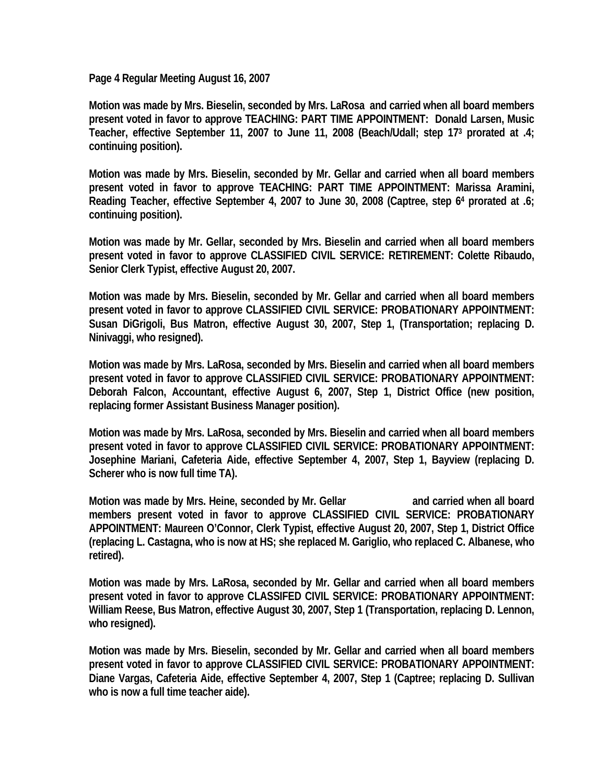**Page 4 Regular Meeting August 16, 2007** 

**Motion was made by Mrs. Bieselin, seconded by Mrs. LaRosa and carried when all board members present voted in favor to approve TEACHING: PART TIME APPOINTMENT: Donald Larsen, Music Teacher, effective September 11, 2007 to June 11, 2008 (Beach/Udall; step 173 prorated at .4; continuing position).** 

**Motion was made by Mrs. Bieselin, seconded by Mr. Gellar and carried when all board members present voted in favor to approve TEACHING: PART TIME APPOINTMENT: Marissa Aramini, Reading Teacher, effective September 4, 2007 to June 30, 2008 (Captree, step 64 prorated at .6; continuing position).** 

**Motion was made by Mr. Gellar, seconded by Mrs. Bieselin and carried when all board members present voted in favor to approve CLASSIFIED CIVIL SERVICE: RETIREMENT: Colette Ribaudo, Senior Clerk Typist, effective August 20, 2007.** 

**Motion was made by Mrs. Bieselin, seconded by Mr. Gellar and carried when all board members present voted in favor to approve CLASSIFIED CIVIL SERVICE: PROBATIONARY APPOINTMENT: Susan DiGrigoli, Bus Matron, effective August 30, 2007, Step 1, (Transportation; replacing D. Ninivaggi, who resigned).** 

**Motion was made by Mrs. LaRosa, seconded by Mrs. Bieselin and carried when all board members present voted in favor to approve CLASSIFIED CIVIL SERVICE: PROBATIONARY APPOINTMENT: Deborah Falcon, Accountant, effective August 6, 2007, Step 1, District Office (new position, replacing former Assistant Business Manager position).** 

**Motion was made by Mrs. LaRosa, seconded by Mrs. Bieselin and carried when all board members present voted in favor to approve CLASSIFIED CIVIL SERVICE: PROBATIONARY APPOINTMENT: Josephine Mariani, Cafeteria Aide, effective September 4, 2007, Step 1, Bayview (replacing D. Scherer who is now full time TA).** 

Motion was made by Mrs. Heine, seconded by Mr. Gellar **and carried when all board members present voted in favor to approve CLASSIFIED CIVIL SERVICE: PROBATIONARY APPOINTMENT: Maureen O'Connor, Clerk Typist, effective August 20, 2007, Step 1, District Office (replacing L. Castagna, who is now at HS; she replaced M. Gariglio, who replaced C. Albanese, who retired).** 

**Motion was made by Mrs. LaRosa, seconded by Mr. Gellar and carried when all board members present voted in favor to approve CLASSIFED CIVIL SERVICE: PROBATIONARY APPOINTMENT: William Reese, Bus Matron, effective August 30, 2007, Step 1 (Transportation, replacing D. Lennon, who resigned).** 

**Motion was made by Mrs. Bieselin, seconded by Mr. Gellar and carried when all board members present voted in favor to approve CLASSIFIED CIVIL SERVICE: PROBATIONARY APPOINTMENT: Diane Vargas, Cafeteria Aide, effective September 4, 2007, Step 1 (Captree; replacing D. Sullivan who is now a full time teacher aide).**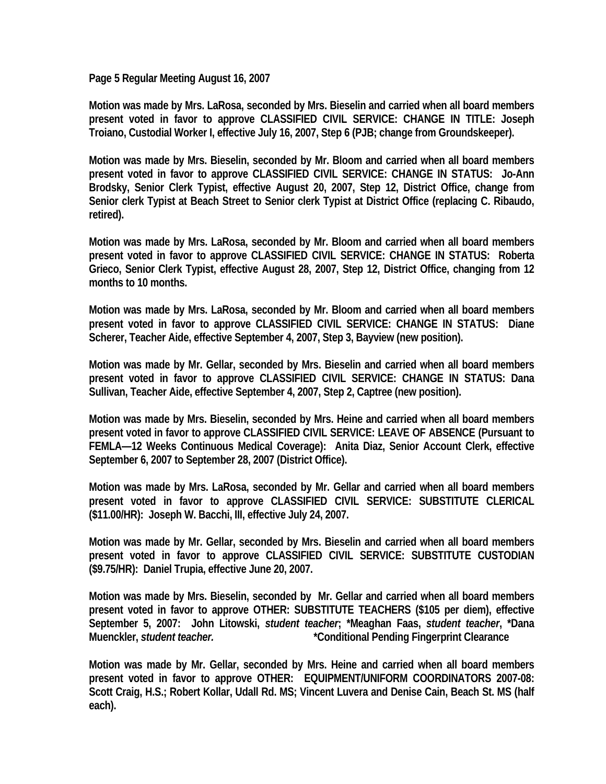**Page 5 Regular Meeting August 16, 2007** 

**Motion was made by Mrs. LaRosa, seconded by Mrs. Bieselin and carried when all board members present voted in favor to approve CLASSIFIED CIVIL SERVICE: CHANGE IN TITLE: Joseph Troiano, Custodial Worker I, effective July 16, 2007, Step 6 (PJB; change from Groundskeeper).** 

**Motion was made by Mrs. Bieselin, seconded by Mr. Bloom and carried when all board members present voted in favor to approve CLASSIFIED CIVIL SERVICE: CHANGE IN STATUS: Jo-Ann Brodsky, Senior Clerk Typist, effective August 20, 2007, Step 12, District Office, change from Senior clerk Typist at Beach Street to Senior clerk Typist at District Office (replacing C. Ribaudo, retired).** 

**Motion was made by Mrs. LaRosa, seconded by Mr. Bloom and carried when all board members present voted in favor to approve CLASSIFIED CIVIL SERVICE: CHANGE IN STATUS: Roberta Grieco, Senior Clerk Typist, effective August 28, 2007, Step 12, District Office, changing from 12 months to 10 months.** 

**Motion was made by Mrs. LaRosa, seconded by Mr. Bloom and carried when all board members present voted in favor to approve CLASSIFIED CIVIL SERVICE: CHANGE IN STATUS: Diane Scherer, Teacher Aide, effective September 4, 2007, Step 3, Bayview (new position).** 

**Motion was made by Mr. Gellar, seconded by Mrs. Bieselin and carried when all board members present voted in favor to approve CLASSIFIED CIVIL SERVICE: CHANGE IN STATUS: Dana Sullivan, Teacher Aide, effective September 4, 2007, Step 2, Captree (new position).** 

**Motion was made by Mrs. Bieselin, seconded by Mrs. Heine and carried when all board members present voted in favor to approve CLASSIFIED CIVIL SERVICE: LEAVE OF ABSENCE (Pursuant to FEMLA—12 Weeks Continuous Medical Coverage): Anita Diaz, Senior Account Clerk, effective September 6, 2007 to September 28, 2007 (District Office).** 

**Motion was made by Mrs. LaRosa, seconded by Mr. Gellar and carried when all board members present voted in favor to approve CLASSIFIED CIVIL SERVICE: SUBSTITUTE CLERICAL (\$11.00/HR): Joseph W. Bacchi, III, effective July 24, 2007.** 

**Motion was made by Mr. Gellar, seconded by Mrs. Bieselin and carried when all board members present voted in favor to approve CLASSIFIED CIVIL SERVICE: SUBSTITUTE CUSTODIAN (\$9.75/HR): Daniel Trupia, effective June 20, 2007.** 

**Motion was made by Mrs. Bieselin, seconded by Mr. Gellar and carried when all board members present voted in favor to approve OTHER: SUBSTITUTE TEACHERS (\$105 per diem), effective September 5, 2007: John Litowski,** *student teacher***; \*Meaghan Faas,** *student teacher***, \*Dana Muenckler,** *student teacher.* **\*Conditional Pending Fingerprint Clearance**

**Motion was made by Mr. Gellar, seconded by Mrs. Heine and carried when all board members present voted in favor to approve OTHER: EQUIPMENT/UNIFORM COORDINATORS 2007-08: Scott Craig, H.S.; Robert Kollar, Udall Rd. MS; Vincent Luvera and Denise Cain, Beach St. MS (half each).**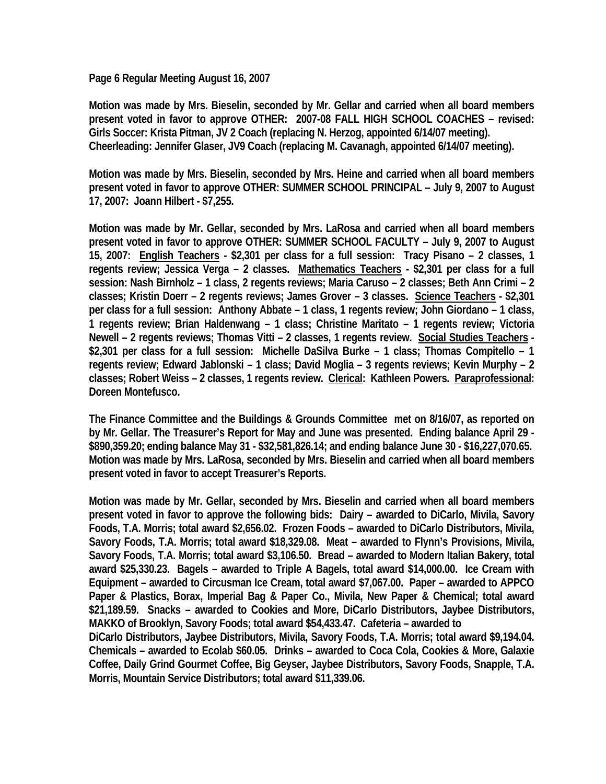**Page 6 Regular Meeting August 16, 2007** 

**Motion was made by Mrs. Bieselin, seconded by Mr. Gellar and carried when all board members present voted in favor to approve OTHER: 2007-08 FALL HIGH SCHOOL COACHES – revised: Girls Soccer: Krista Pitman, JV 2 Coach (replacing N. Herzog, appointed 6/14/07 meeting). Cheerleading: Jennifer Glaser, JV9 Coach (replacing M. Cavanagh, appointed 6/14/07 meeting).** 

**Motion was made by Mrs. Bieselin, seconded by Mrs. Heine and carried when all board members present voted in favor to approve OTHER: SUMMER SCHOOL PRINCIPAL – July 9, 2007 to August 17, 2007: Joann Hilbert - \$7,255.** 

**Motion was made by Mr. Gellar, seconded by Mrs. LaRosa and carried when all board members present voted in favor to approve OTHER: SUMMER SCHOOL FACULTY – July 9, 2007 to August 15, 2007: English Teachers - \$2,301 per class for a full session: Tracy Pisano – 2 classes, 1 regents review; Jessica Verga – 2 classes. Mathematics Teachers - \$2,301 per class for a full session: Nash Birnholz – 1 class, 2 regents reviews; Maria Caruso – 2 classes; Beth Ann Crimi – 2 classes; Kristin Doerr – 2 regents reviews; James Grover – 3 classes. Science Teachers - \$2,301 per class for a full session: Anthony Abbate – 1 class, 1 regents review; John Giordano – 1 class, 1 regents review; Brian Haldenwang – 1 class; Christine Maritato – 1 regents review; Victoria Newell – 2 regents reviews; Thomas Vitti – 2 classes, 1 regents review. Social Studies Teachers - \$2,301 per class for a full session: Michelle DaSilva Burke – 1 class; Thomas Compitello – 1 regents review; Edward Jablonski – 1 class; David Moglia – 3 regents reviews; Kevin Murphy – 2 classes; Robert Weiss – 2 classes, 1 regents review. Clerical: Kathleen Powers. Paraprofessional: Doreen Montefusco.** 

**The Finance Committee and the Buildings & Grounds Committee met on 8/16/07, as reported on by Mr. Gellar. The Treasurer's Report for May and June was presented. Ending balance April 29 - \$890,359.20; ending balance May 31 - \$32,581,826.14; and ending balance June 30 - \$16,227,070.65. Motion was made by Mrs. LaRosa, seconded by Mrs. Bieselin and carried when all board members present voted in favor to accept Treasurer's Reports.** 

**Motion was made by Mr. Gellar, seconded by Mrs. Bieselin and carried when all board members present voted in favor to approve the following bids: Dairy – awarded to DiCarlo, Mivila, Savory Foods, T.A. Morris; total award \$2,656.02. Frozen Foods – awarded to DiCarlo Distributors, Mivila, Savory Foods, T.A. Morris; total award \$18,329.08. Meat – awarded to Flynn's Provisions, Mivila, Savory Foods, T.A. Morris; total award \$3,106.50. Bread – awarded to Modern Italian Bakery, total award \$25,330.23. Bagels – awarded to Triple A Bagels, total award \$14,000.00. Ice Cream with Equipment – awarded to Circusman Ice Cream, total award \$7,067.00. Paper – awarded to APPCO Paper & Plastics, Borax, Imperial Bag & Paper Co., Mivila, New Paper & Chemical; total award \$21,189.59. Snacks – awarded to Cookies and More, DiCarlo Distributors, Jaybee Distributors, MAKKO of Brooklyn, Savory Foods; total award \$54,433.47. Cafeteria – awarded to DiCarlo Distributors, Jaybee Distributors, Mivila, Savory Foods, T.A. Morris; total award \$9,194.04. Chemicals – awarded to Ecolab \$60.05. Drinks – awarded to Coca Cola, Cookies & More, Galaxie Coffee, Daily Grind Gourmet Coffee, Big Geyser, Jaybee Distributors, Savory Foods, Snapple, T.A. Morris, Mountain Service Distributors; total award \$11,339.06.**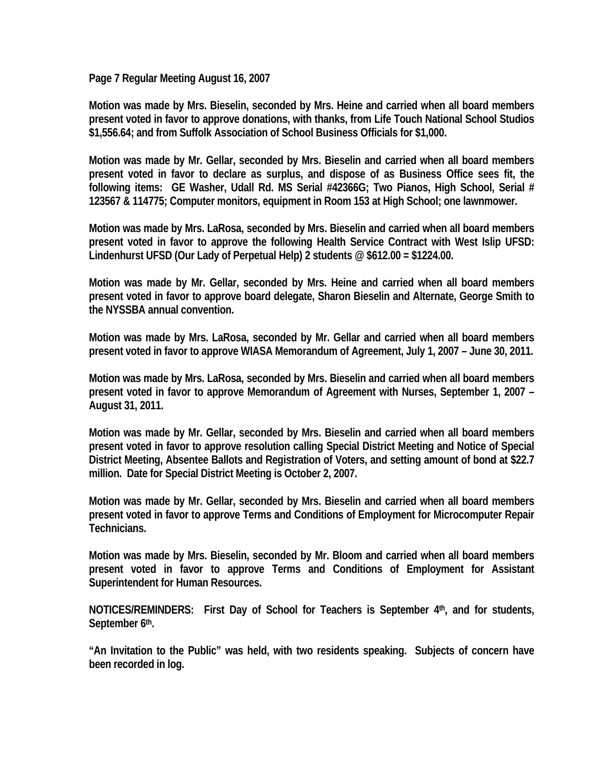**Page 7 Regular Meeting August 16, 2007** 

**Motion was made by Mrs. Bieselin, seconded by Mrs. Heine and carried when all board members present voted in favor to approve donations, with thanks, from Life Touch National School Studios \$1,556.64; and from Suffolk Association of School Business Officials for \$1,000.** 

**Motion was made by Mr. Gellar, seconded by Mrs. Bieselin and carried when all board members present voted in favor to declare as surplus, and dispose of as Business Office sees fit, the following items: GE Washer, Udall Rd. MS Serial #42366G; Two Pianos, High School, Serial # 123567 & 114775; Computer monitors, equipment in Room 153 at High School; one lawnmower.** 

**Motion was made by Mrs. LaRosa, seconded by Mrs. Bieselin and carried when all board members present voted in favor to approve the following Health Service Contract with West Islip UFSD: Lindenhurst UFSD (Our Lady of Perpetual Help) 2 students @ \$612.00 = \$1224.00.** 

**Motion was made by Mr. Gellar, seconded by Mrs. Heine and carried when all board members present voted in favor to approve board delegate, Sharon Bieselin and Alternate, George Smith to the NYSSBA annual convention.** 

**Motion was made by Mrs. LaRosa, seconded by Mr. Gellar and carried when all board members present voted in favor to approve WIASA Memorandum of Agreement, July 1, 2007 – June 30, 2011.** 

**Motion was made by Mrs. LaRosa, seconded by Mrs. Bieselin and carried when all board members present voted in favor to approve Memorandum of Agreement with Nurses, September 1, 2007 – August 31, 2011.** 

**Motion was made by Mr. Gellar, seconded by Mrs. Bieselin and carried when all board members present voted in favor to approve resolution calling Special District Meeting and Notice of Special District Meeting, Absentee Ballots and Registration of Voters, and setting amount of bond at \$22.7 million. Date for Special District Meeting is October 2, 2007.** 

**Motion was made by Mr. Gellar, seconded by Mrs. Bieselin and carried when all board members present voted in favor to approve Terms and Conditions of Employment for Microcomputer Repair Technicians.** 

**Motion was made by Mrs. Bieselin, seconded by Mr. Bloom and carried when all board members present voted in favor to approve Terms and Conditions of Employment for Assistant Superintendent for Human Resources.** 

**NOTICES/REMINDERS: First Day of School for Teachers is September 4th, and for students,**  September 6<sup>th</sup>.

**"An Invitation to the Public" was held, with two residents speaking. Subjects of concern have been recorded in log.**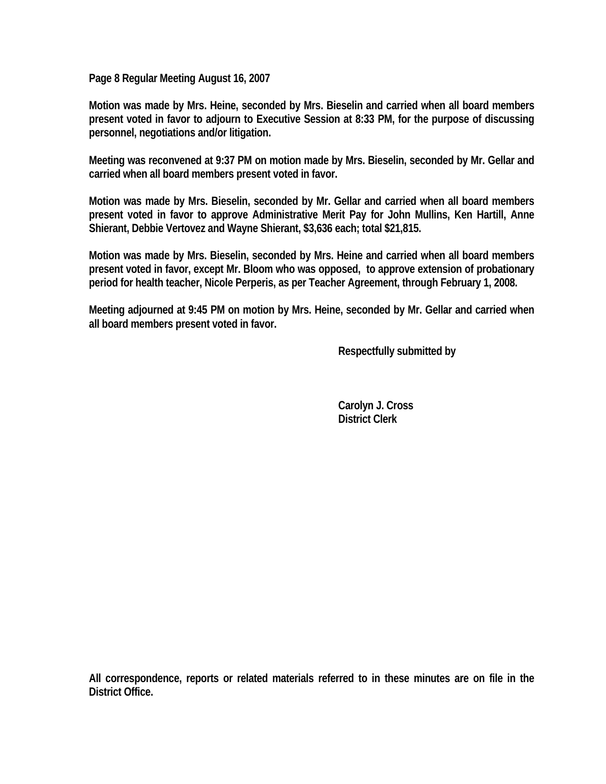**Page 8 Regular Meeting August 16, 2007** 

**Motion was made by Mrs. Heine, seconded by Mrs. Bieselin and carried when all board members present voted in favor to adjourn to Executive Session at 8:33 PM, for the purpose of discussing personnel, negotiations and/or litigation.** 

**Meeting was reconvened at 9:37 PM on motion made by Mrs. Bieselin, seconded by Mr. Gellar and carried when all board members present voted in favor.** 

**Motion was made by Mrs. Bieselin, seconded by Mr. Gellar and carried when all board members present voted in favor to approve Administrative Merit Pay for John Mullins, Ken Hartill, Anne Shierant, Debbie Vertovez and Wayne Shierant, \$3,636 each; total \$21,815.** 

**Motion was made by Mrs. Bieselin, seconded by Mrs. Heine and carried when all board members present voted in favor, except Mr. Bloom who was opposed, to approve extension of probationary period for health teacher, Nicole Perperis, as per Teacher Agreement, through February 1, 2008.** 

**Meeting adjourned at 9:45 PM on motion by Mrs. Heine, seconded by Mr. Gellar and carried when all board members present voted in favor.** 

 **Respectfully submitted by** 

 **Carolyn J. Cross District Clerk** 

**All correspondence, reports or related materials referred to in these minutes are on file in the District Office.**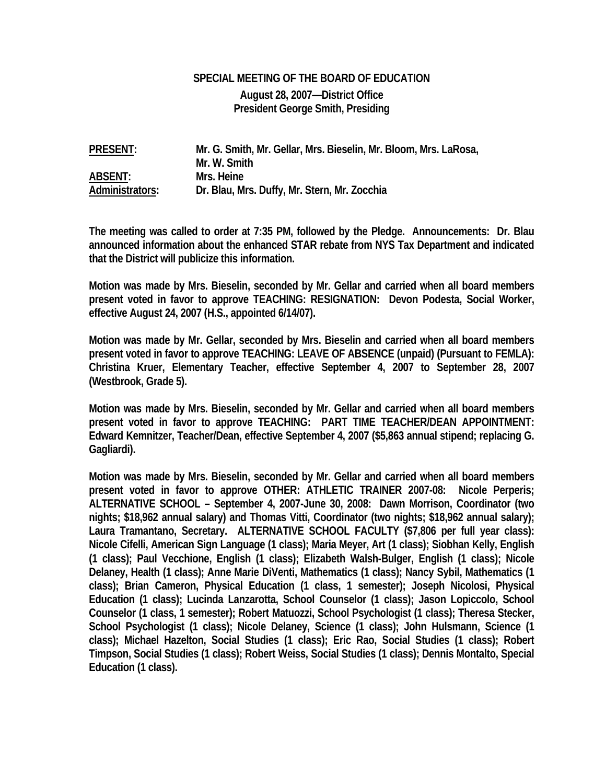## **SPECIAL MEETING OF THE BOARD OF EDUCATION August 28, 2007—District Office President George Smith, Presiding**

| <b>PRESENT:</b> | Mr. G. Smith, Mr. Gellar, Mrs. Bieselin, Mr. Bloom, Mrs. LaRosa, |
|-----------------|------------------------------------------------------------------|
|                 | Mr. W. Smith                                                     |
| ABSENT:         | Mrs. Heine                                                       |
| Administrators: | Dr. Blau, Mrs. Duffy, Mr. Stern, Mr. Zocchia                     |

**The meeting was called to order at 7:35 PM, followed by the Pledge. Announcements: Dr. Blau announced information about the enhanced STAR rebate from NYS Tax Department and indicated that the District will publicize this information.** 

**Motion was made by Mrs. Bieselin, seconded by Mr. Gellar and carried when all board members present voted in favor to approve TEACHING: RESIGNATION: Devon Podesta, Social Worker, effective August 24, 2007 (H.S., appointed 6/14/07).** 

**Motion was made by Mr. Gellar, seconded by Mrs. Bieselin and carried when all board members present voted in favor to approve TEACHING: LEAVE OF ABSENCE (unpaid) (Pursuant to FEMLA): Christina Kruer, Elementary Teacher, effective September 4, 2007 to September 28, 2007 (Westbrook, Grade 5).** 

**Motion was made by Mrs. Bieselin, seconded by Mr. Gellar and carried when all board members present voted in favor to approve TEACHING: PART TIME TEACHER/DEAN APPOINTMENT: Edward Kemnitzer, Teacher/Dean, effective September 4, 2007 (\$5,863 annual stipend; replacing G. Gagliardi).** 

**Motion was made by Mrs. Bieselin, seconded by Mr. Gellar and carried when all board members present voted in favor to approve OTHER: ATHLETIC TRAINER 2007-08: Nicole Perperis; ALTERNATIVE SCHOOL – September 4, 2007-June 30, 2008: Dawn Morrison, Coordinator (two nights; \$18,962 annual salary) and Thomas Vitti, Coordinator (two nights; \$18,962 annual salary); Laura Tramantano, Secretary. ALTERNATIVE SCHOOL FACULTY (\$7,806 per full year class): Nicole Cifelli, American Sign Language (1 class); Maria Meyer, Art (1 class); Siobhan Kelly, English (1 class); Paul Vecchione, English (1 class); Elizabeth Walsh-Bulger, English (1 class); Nicole Delaney, Health (1 class); Anne Marie DiVenti, Mathematics (1 class); Nancy Sybil, Mathematics (1 class); Brian Cameron, Physical Education (1 class, 1 semester); Joseph Nicolosi, Physical Education (1 class); Lucinda Lanzarotta, School Counselor (1 class); Jason Lopiccolo, School Counselor (1 class, 1 semester); Robert Matuozzi, School Psychologist (1 class); Theresa Stecker, School Psychologist (1 class); Nicole Delaney, Science (1 class); John Hulsmann, Science (1 class); Michael Hazelton, Social Studies (1 class); Eric Rao, Social Studies (1 class); Robert Timpson, Social Studies (1 class); Robert Weiss, Social Studies (1 class); Dennis Montalto, Special Education (1 class).**